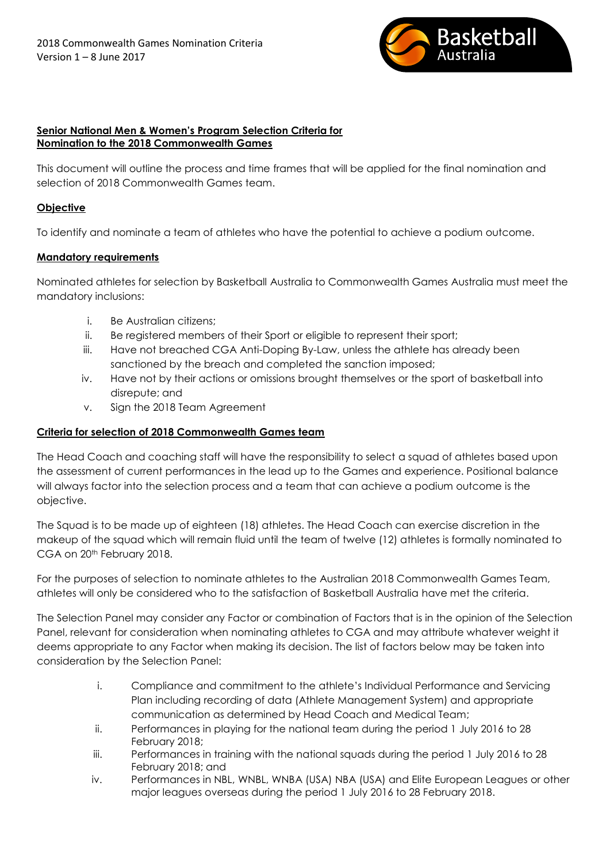

#### **Senior National Men & Women's Program Selection Criteria for Nomination to the 2018 Commonwealth Games**

This document will outline the process and time frames that will be applied for the final nomination and selection of 2018 Commonwealth Games team.

# **Objective**

To identify and nominate a team of athletes who have the potential to achieve a podium outcome.

## **Mandatory requirements**

Nominated athletes for selection by Basketball Australia to Commonwealth Games Australia must meet the mandatory inclusions:

- i. Be Australian citizens;
- ii. Be registered members of their Sport or eligible to represent their sport;
- iii. Have not breached CGA Anti-Doping By-Law, unless the athlete has already been sanctioned by the breach and completed the sanction imposed;
- iv. Have not by their actions or omissions brought themselves or the sport of basketball into disrepute; and
- v. Sign the 2018 Team Agreement

# **Criteria for selection of 2018 Commonwealth Games team**

The Head Coach and coaching staff will have the responsibility to select a squad of athletes based upon the assessment of current performances in the lead up to the Games and experience. Positional balance will always factor into the selection process and a team that can achieve a podium outcome is the objective.

The Squad is to be made up of eighteen (18) athletes. The Head Coach can exercise discretion in the makeup of the squad which will remain fluid until the team of twelve (12) athletes is formally nominated to CGA on 20th February 2018.

For the purposes of selection to nominate athletes to the Australian 2018 Commonwealth Games Team, athletes will only be considered who to the satisfaction of Basketball Australia have met the criteria.

The Selection Panel may consider any Factor or combination of Factors that is in the opinion of the Selection Panel, relevant for consideration when nominating athletes to CGA and may attribute whatever weight it deems appropriate to any Factor when making its decision. The list of factors below may be taken into consideration by the Selection Panel:

- i. Compliance and commitment to the athlete's Individual Performance and Servicing Plan including recording of data (Athlete Management System) and appropriate communication as determined by Head Coach and Medical Team;
- ii. Performances in playing for the national team during the period 1 July 2016 to 28 February 2018;
- iii. Performances in training with the national squads during the period 1 July 2016 to 28 February 2018; and
- iv. Performances in NBL, WNBL, WNBA (USA) NBA (USA) and Elite European Leagues or other major leagues overseas during the period 1 July 2016 to 28 February 2018.